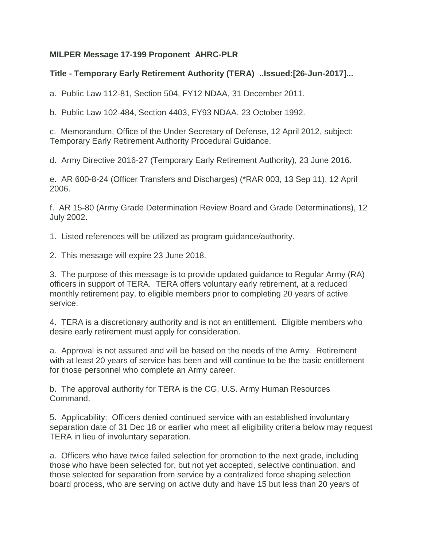## **MILPER Message 17-199 Proponent AHRC-PLR**

## **Title - Temporary Early Retirement Authority (TERA) ..Issued:[26-Jun-2017]...**

a. Public Law 112-81, Section 504, FY12 NDAA, 31 December 2011.

b. Public Law 102-484, Section 4403, FY93 NDAA, 23 October 1992.

c. Memorandum, Office of the Under Secretary of Defense, 12 April 2012, subject: Temporary Early Retirement Authority Procedural Guidance.

d. Army Directive 2016-27 (Temporary Early Retirement Authority), 23 June 2016.

e. AR 600-8-24 (Officer Transfers and Discharges) (\*RAR 003, 13 Sep 11), 12 April 2006.

f. AR 15-80 (Army Grade Determination Review Board and Grade Determinations), 12 July 2002.

1. Listed references will be utilized as program guidance/authority.

2. This message will expire 23 June 2018.

3. The purpose of this message is to provide updated guidance to Regular Army (RA) officers in support of TERA. TERA offers voluntary early retirement, at a reduced monthly retirement pay, to eligible members prior to completing 20 years of active service.

4. TERA is a discretionary authority and is not an entitlement. Eligible members who desire early retirement must apply for consideration.

a. Approval is not assured and will be based on the needs of the Army. Retirement with at least 20 years of service has been and will continue to be the basic entitlement for those personnel who complete an Army career.

b. The approval authority for TERA is the CG, U.S. Army Human Resources Command.

5. Applicability: Officers denied continued service with an established involuntary separation date of 31 Dec 18 or earlier who meet all eligibility criteria below may request TERA in lieu of involuntary separation.

a. Officers who have twice failed selection for promotion to the next grade, including those who have been selected for, but not yet accepted, selective continuation, and those selected for separation from service by a centralized force shaping selection board process, who are serving on active duty and have 15 but less than 20 years of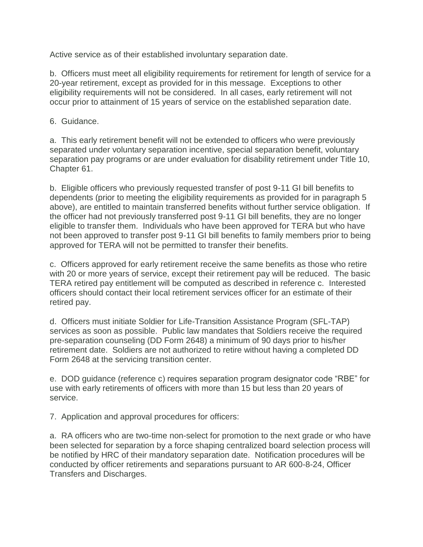Active service as of their established involuntary separation date.

b. Officers must meet all eligibility requirements for retirement for length of service for a 20-year retirement, except as provided for in this message. Exceptions to other eligibility requirements will not be considered. In all cases, early retirement will not occur prior to attainment of 15 years of service on the established separation date.

6. Guidance.

a. This early retirement benefit will not be extended to officers who were previously separated under voluntary separation incentive, special separation benefit, voluntary separation pay programs or are under evaluation for disability retirement under Title 10, Chapter 61.

b. Eligible officers who previously requested transfer of post 9-11 GI bill benefits to dependents (prior to meeting the eligibility requirements as provided for in paragraph 5 above), are entitled to maintain transferred benefits without further service obligation. If the officer had not previously transferred post 9-11 GI bill benefits, they are no longer eligible to transfer them. Individuals who have been approved for TERA but who have not been approved to transfer post 9-11 GI bill benefits to family members prior to being approved for TERA will not be permitted to transfer their benefits.

c. Officers approved for early retirement receive the same benefits as those who retire with 20 or more years of service, except their retirement pay will be reduced. The basic TERA retired pay entitlement will be computed as described in reference c. Interested officers should contact their local retirement services officer for an estimate of their retired pay.

d. Officers must initiate Soldier for Life-Transition Assistance Program (SFL-TAP) services as soon as possible. Public law mandates that Soldiers receive the required pre-separation counseling (DD Form 2648) a minimum of 90 days prior to his/her retirement date. Soldiers are not authorized to retire without having a completed DD Form 2648 at the servicing transition center.

e. DOD guidance (reference c) requires separation program designator code "RBE" for use with early retirements of officers with more than 15 but less than 20 years of service.

7. Application and approval procedures for officers:

a. RA officers who are two-time non-select for promotion to the next grade or who have been selected for separation by a force shaping centralized board selection process will be notified by HRC of their mandatory separation date. Notification procedures will be conducted by officer retirements and separations pursuant to AR 600-8-24, Officer Transfers and Discharges.